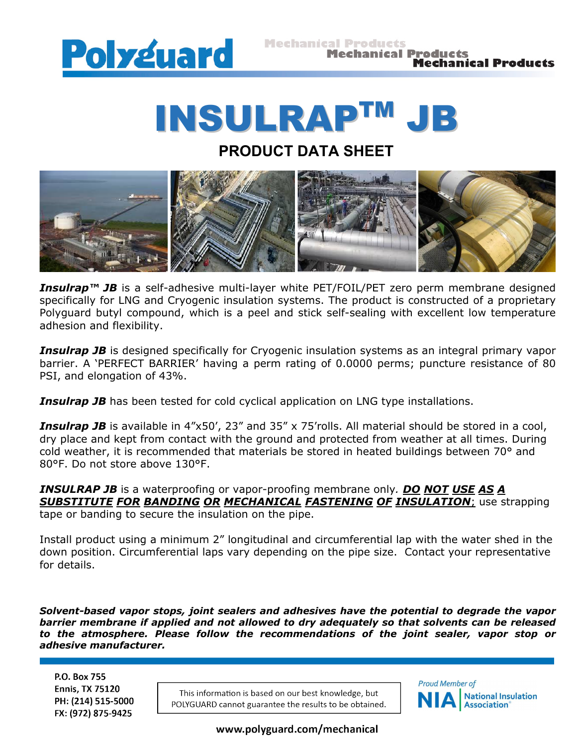

## INSULRAP TM JB

## **PRODUCT DATA SHEET**



*Insulrap<sup>™</sup> JB* is a self-adhesive multi-layer white PET/FOIL/PET zero perm membrane designed specifically for LNG and Cryogenic insulation systems. The product is constructed of a proprietary Polyguard butyl compound, which is a peel and stick self-sealing with excellent low temperature adhesion and flexibility.

**Insulrap JB** is designed specifically for Cryogenic insulation systems as an integral primary vapor barrier. A 'PERFECT BARRIER' having a perm rating of 0.0000 perms; puncture resistance of 80 PSI, and elongation of 43%.

**Insulrap JB** has been tested for cold cyclical application on LNG type installations.

*Insulrap JB* is available in 4"x50', 23" and 35" x 75'rolls. All material should be stored in a cool, dry place and kept from contact with the ground and protected from weather at all times. During cold weather, it is recommended that materials be stored in heated buildings between 70° and 80°F. Do not store above 130°F.

*INSULRAP JB* is a waterproofing or vapor-proofing membrane only*. DO NOT USE AS A SUBSTITUTE FOR BANDING OR MECHANICAL FASTENING OF INSULATION*; use strapping tape or banding to secure the insulation on the pipe.

Install product using a minimum 2" longitudinal and circumferential lap with the water shed in the down position. Circumferential laps vary depending on the pipe size. Contact your representative for details.

*Solvent-based vapor stops, joint sealers and adhesives have the potential to degrade the vapor barrier membrane if applied and not allowed to dry adequately so that solvents can be released to the atmosphere. Please follow the recommendations of the joint sealer, vapor stop or adhesive manufacturer.*

P.O. Box 755 **Ennis, TX 75120** PH: (214) 515-5000 FX: (972) 875-9425

This information is based on our best knowledge, but POLYGUARD cannot guarantee the results to be obtained.



www.polyguard.com/mechanical